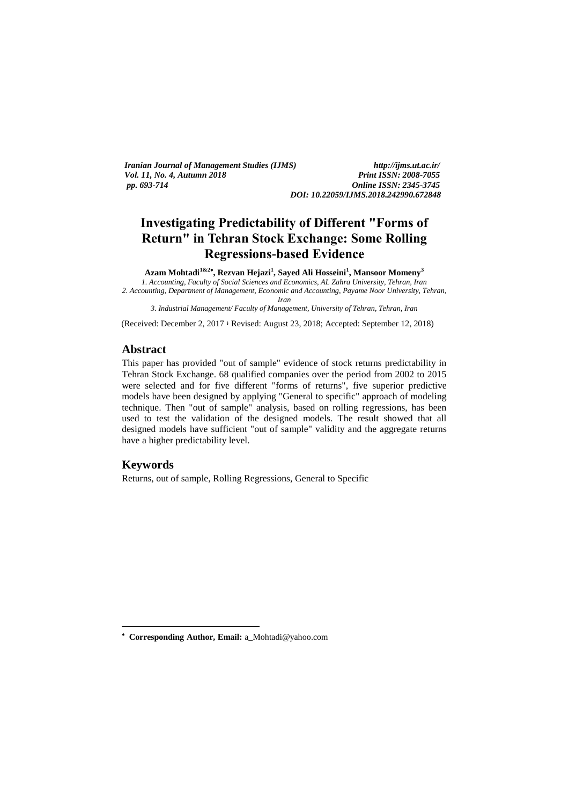*Iranian Journal of Management Studies (IJMS) http://ijms.ut.ac.ir/ Vol. 11, No. 4, Autumn 2018 pp. 693-714 Online ISSN: 2345-3745*

*DOI: 10.22059/IJMS.2018.242990.672848*

# **Investigating Predictability of Different "Forms of Return" in Tehran Stock Exchange: Some Rolling Regressions-based Evidence**

**Azam Mohtadi1&2 , Rezvan Hejazi<sup>1</sup> , Sayed Ali Hosseini<sup>1</sup> , Mansoor Momeny<sup>3</sup>** *1. Accounting, Faculty of Social Sciences and Economics, AL Zahra University, Tehran, Iran*

*2. Accounting, Department of Management, Economic and Accounting, Payame Noor University, Tehran, Iran*

*3. Industrial Management/ Faculty of Management, University of Tehran, Tehran, Iran*

(Received: December 2, 2017 ؛ Revised: August 23, 2018; Accepted: September 12, 2018)

# **Abstract**

This paper has provided "out of sample" evidence of stock returns predictability in Tehran Stock Exchange. 68 qualified companies over the period from 2002 to 2015 were selected and for five different "forms of returns", five superior predictive models have been designed by applying "General to specific" approach of modeling technique. Then "out of sample" analysis, based on rolling regressions, has been used to test the validation of the designed models. The result showed that all designed models have sufficient "out of sample" validity and the aggregate returns have a higher predictability level.

# **Keywords**

1

Returns, out of sample, Rolling Regressions, General to Specific

 **Corresponding Author, Email:** a\_Mohtadi@yahoo.com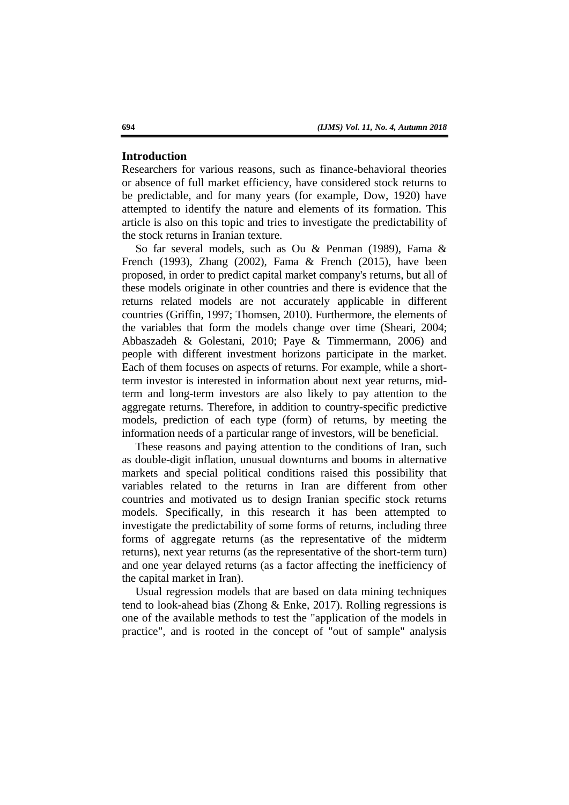# **Introduction**

Researchers for various reasons, such as finance-behavioral theories or absence of full market efficiency, have considered stock returns to be predictable, and for many years (for example, Dow, 1920) have attempted to identify the nature and elements of its formation. This article is also on this topic and tries to investigate the predictability of the stock returns in Iranian texture.

So far several models, such as Ou & Penman (1989), Fama & French (1993), Zhang (2002), Fama & French (2015), have been proposed, in order to predict capital market company's returns, but all of these models originate in other countries and there is evidence that the returns related models are not accurately applicable in different countries (Griffin, 1997; Thomsen, 2010). Furthermore, the elements of the variables that form the models change over time (Sheari, 2004; Abbaszadeh & Golestani, 2010; Paye & Timmermann, 2006) and people with different investment horizons participate in the market. Each of them focuses on aspects of returns. For example, while a shortterm investor is interested in information about next year returns, midterm and long-term investors are also likely to pay attention to the aggregate returns. Therefore, in addition to country-specific predictive models, prediction of each type (form) of returns, by meeting the information needs of a particular range of investors, will be beneficial.

These reasons and paying attention to the conditions of Iran, such as double-digit inflation, unusual downturns and booms in alternative markets and special political conditions raised this possibility that variables related to the returns in Iran are different from other countries and motivated us to design Iranian specific stock returns models. Specifically, in this research it has been attempted to investigate the predictability of some forms of returns, including three forms of aggregate returns (as the representative of the midterm returns), next year returns (as the representative of the short-term turn) and one year delayed returns (as a factor affecting the inefficiency of the capital market in Iran).

Usual regression models that are based on data mining techniques tend to look-ahead bias (Zhong & Enke, 2017). Rolling regressions is one of the available methods to test the "application of the models in practice", and is rooted in the concept of "out of sample" analysis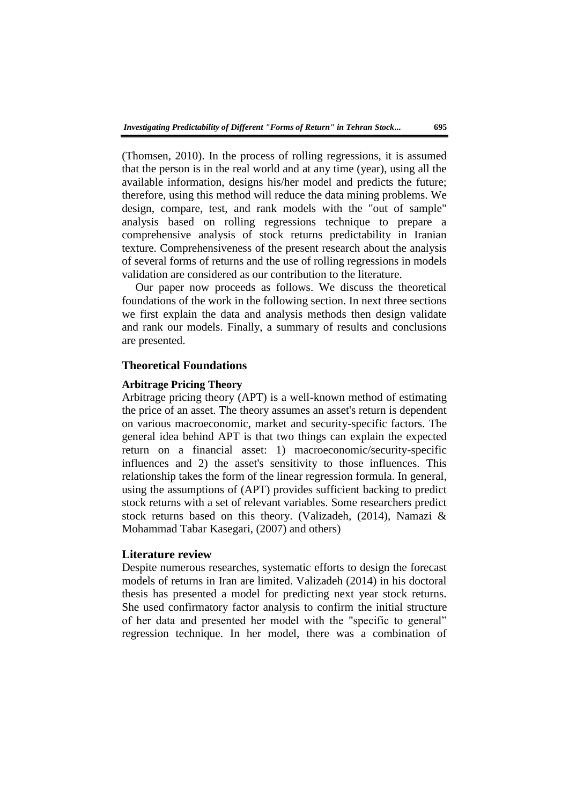(Thomsen, 2010). In the process of rolling regressions, it is assumed that the person is in the real world and at any time (year), using all the available information, designs his/her model and predicts the future; therefore, using this method will reduce the data mining problems. We design, compare, test, and rank models with the "out of sample" analysis based on rolling regressions technique to prepare a comprehensive analysis of stock returns predictability in Iranian texture. Comprehensiveness of the present research about the analysis of several forms of returns and the use of rolling regressions in models validation are considered as our contribution to the literature.

Our paper now proceeds as follows. We discuss the theoretical foundations of the work in the following section. In next three sections we first explain the data and analysis methods then design validate and rank our models. Finally, a summary of results and conclusions are presented.

# **Theoretical Foundations**

### **Arbitrage Pricing Theory**

Arbitrage pricing theory (APT) is a well-known method of estimating the price of an asset. The theory assumes an asset's return is dependent on various macroeconomic, market and security-specific factors. The general idea behind APT is that two things can explain the expected return on a financial asset: 1) macroeconomic/security-specific influences and 2) the asset's sensitivity to those influences. This relationship takes the form of the linear regression formula. In general, using the assumptions of (APT) provides sufficient backing to predict stock returns with a set of relevant variables. Some researchers predict stock returns based on this theory. (Valizadeh, (2014), Namazi & Mohammad Tabar Kasegari, (2007) and others)

### **Literature review**

Despite numerous researches, systematic efforts to design the forecast models of returns in Iran are limited. Valizadeh (2014) in his doctoral thesis has presented a model for predicting next year stock returns. She used confirmatory factor analysis to confirm the initial structure of her data and presented her model with the "specific to general" regression technique. In her model, there was a combination of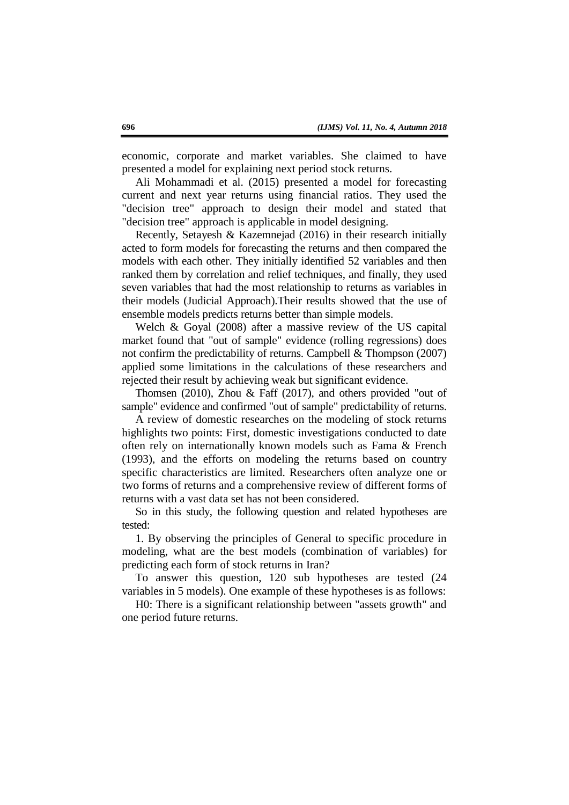economic, corporate and market variables. She claimed to have presented a model for explaining next period stock returns.

Ali Mohammadi et al. (2015) presented a model for forecasting current and next year returns using financial ratios. They used the "decision tree" approach to design their model and stated that "decision tree" approach is applicable in model designing.

Recently, Setayesh & Kazemnejad (2016) in their research initially acted to form models for forecasting the returns and then compared the models with each other. They initially identified 52 variables and then ranked them by correlation and relief techniques, and finally, they used seven variables that had the most relationship to returns as variables in their models (Judicial Approach).Their results showed that the use of ensemble models predicts returns better than simple models.

Welch & Goyal (2008) after a massive review of the US capital market found that "out of sample" evidence (rolling regressions) does not confirm the predictability of returns. Campbell & Thompson (2007) applied some limitations in the calculations of these researchers and rejected their result by achieving weak but significant evidence.

Thomsen (2010), Zhou & Faff (2017), and others provided "out of sample" evidence and confirmed "out of sample" predictability of returns.

A review of domestic researches on the modeling of stock returns highlights two points: First, domestic investigations conducted to date often rely on internationally known models such as Fama & French (1993), and the efforts on modeling the returns based on country specific characteristics are limited. Researchers often analyze one or two forms of returns and a comprehensive review of different forms of returns with a vast data set has not been considered.

So in this study, the following question and related hypotheses are tested:

1. By observing the principles of General to specific procedure in modeling, what are the best models (combination of variables) for predicting each form of stock returns in Iran?

To answer this question, 120 sub hypotheses are tested (24 variables in 5 models). One example of these hypotheses is as follows:

H0: There is a significant relationship between "assets growth" and one period future returns.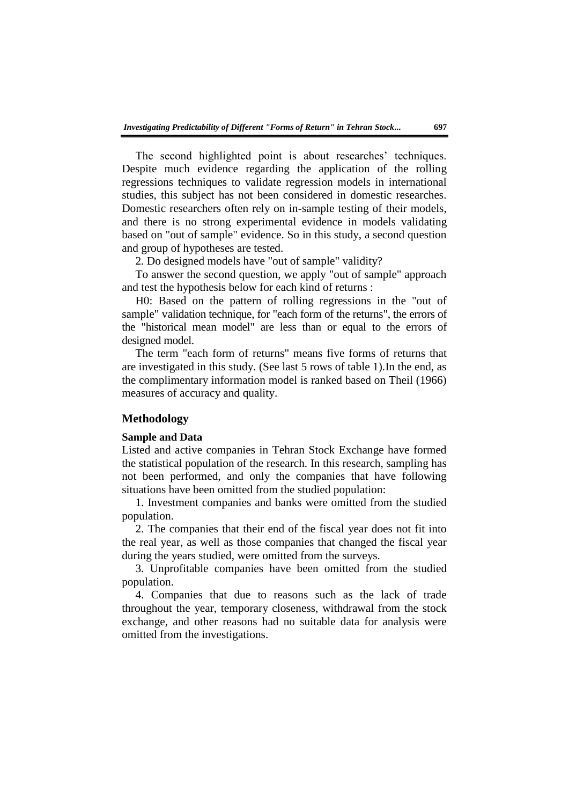The second highlighted point is about researches' techniques. Despite much evidence regarding the application of the rolling regressions techniques to validate regression models in international studies, this subject has not been considered in domestic researches. Domestic researchers often rely on in-sample testing of their models, and there is no strong experimental evidence in models validating based on "out of sample" evidence. So in this study, a second question and group of hypotheses are tested.

2. Do designed models have "out of sample" validity?

To answer the second question, we apply "out of sample" approach and test the hypothesis below for each kind of returns :

H0: Based on the pattern of rolling regressions in the "out of sample" validation technique, for "each form of the returns", the errors of the "historical mean model" are less than or equal to the errors of designed model.

The term "each form of returns" means five forms of returns that are investigated in this study. (See last 5 rows of table 1).In the end, as the complimentary information model is ranked based on Theil (1966) measures of accuracy and quality.

### **Methodology**

#### **Sample and Data**

Listed and active companies in Tehran Stock Exchange have formed the statistical population of the research. In this research, sampling has not been performed, and only the companies that have following situations have been omitted from the studied population:

1. Investment companies and banks were omitted from the studied population.

2. The companies that their end of the fiscal year does not fit into the real year, as well as those companies that changed the fiscal year during the years studied, were omitted from the surveys.

3. Unprofitable companies have been omitted from the studied population.

4. Companies that due to reasons such as the lack of trade throughout the year, temporary closeness, withdrawal from the stock exchange, and other reasons had no suitable data for analysis were omitted from the investigations.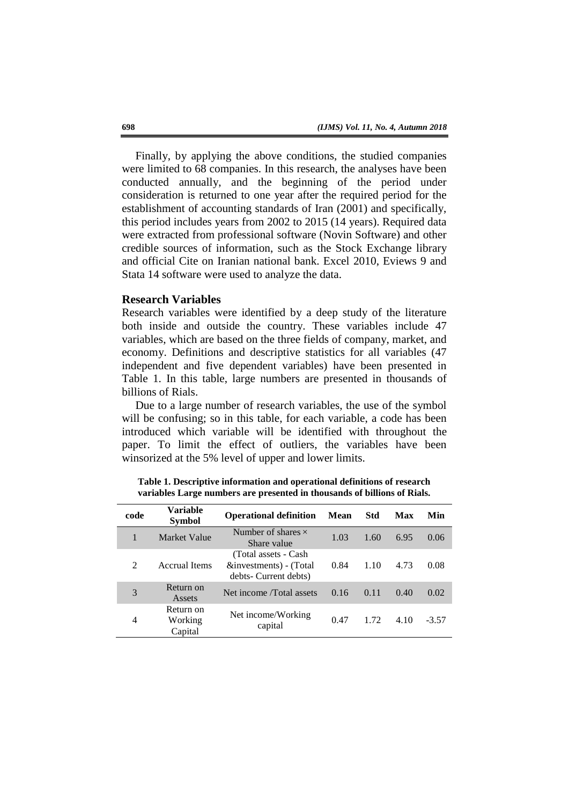Finally, by applying the above conditions, the studied companies were limited to 68 companies. In this research, the analyses have been conducted annually, and the beginning of the period under consideration is returned to one year after the required period for the establishment of accounting standards of Iran (2001) and specifically, this period includes years from 2002 to 2015 (14 years). Required data were extracted from professional software (Novin Software) and other credible sources of information, such as the Stock Exchange library and official Cite on Iranian national bank. Excel 2010, Eviews 9 and Stata 14 software were used to analyze the data.

#### **Research Variables**

Research variables were identified by a deep study of the literature both inside and outside the country. These variables include 47 variables, which are based on the three fields of company, market, and economy. Definitions and descriptive statistics for all variables (47 independent and five dependent variables) have been presented in Table 1. In this table, large numbers are presented in thousands of billions of Rials.

Due to a large number of research variables, the use of the symbol will be confusing; so in this table, for each variable, a code has been introduced which variable will be identified with throughout the paper. To limit the effect of outliers, the variables have been winsorized at the 5% level of upper and lower limits.

| code           | Variable<br><b>Symbol</b>       | <b>Operational definition</b>                                            | <b>Mean</b> | Std  | Max  | Min     |
|----------------|---------------------------------|--------------------------------------------------------------------------|-------------|------|------|---------|
| 1              | Market Value                    | Number of shares $\times$<br>Share value                                 | 1.03        | 1.60 | 6.95 | 0.06    |
| $\mathfrak{D}$ | <b>Accrual Items</b>            | (Total assets - Cash)<br>&investments) - (Total<br>debts- Current debts) | 0.84        | 1.10 | 4.73 | 0.08    |
| 3              | Return on<br>Assets             | Net income <i>Total</i> assets                                           | 0.16        | 0.11 | 0.40 | 0.02    |
| 4              | Return on<br>Working<br>Capital | Net income/Working<br>capital                                            | 0.47        | 1.72 | 4.10 | $-3.57$ |

**Table 1. Descriptive information and operational definitions of research variables Large numbers are presented in thousands of billions of Rials.**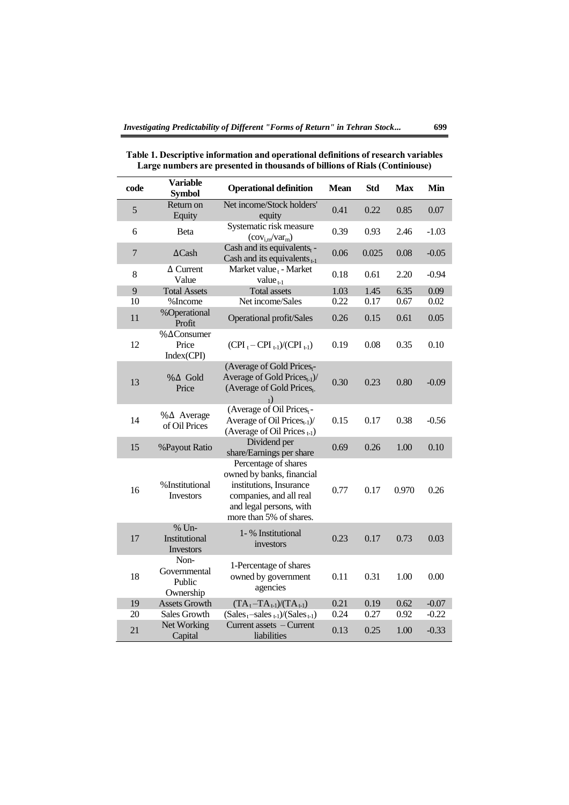| code          | <b>Variable</b><br><b>Symbol</b>            | <b>Operational definition</b>                                                                                                                                 | <b>Mean</b> | <b>Std</b> | <b>Max</b> | Min     |
|---------------|---------------------------------------------|---------------------------------------------------------------------------------------------------------------------------------------------------------------|-------------|------------|------------|---------|
| $\mathfrak s$ | Return on<br>Equity                         | Net income/Stock holders'<br>equity                                                                                                                           | 0.41        | 0.22       | 0.85       | 0.07    |
| 6             | Beta                                        | Systematic risk measure<br>$\left(\text{cov}_{i,m}/\text{var}_{m}\right)$                                                                                     | 0.39        | 0.93       | 2.46       | $-1.03$ |
| $\tau$        | $\Delta$ Cash                               | Cash and its equivalents $_{t}$ -<br>Cash and its equivalents $_{t-1}$                                                                                        | 0.06        | 0.025      | 0.08       | $-0.05$ |
| 8             | $\Delta$ Current<br>Value                   | Market value t - Market<br>value $_{t-1}$                                                                                                                     | 0.18        | 0.61       | 2.20       | $-0.94$ |
| 9             | <b>Total Assets</b>                         | <b>Total assets</b>                                                                                                                                           | 1.03        | 1.45       | 6.35       | 0.09    |
| 10            | %Income                                     | Net income/Sales                                                                                                                                              | 0.22        | 0.17       | 0.67       | 0.02    |
| 11            | %Operational<br>Profit                      | Operational profit/Sales                                                                                                                                      | 0.26        | 0.15       | 0.61       | 0.05    |
| 12            | %∆Consumer<br>Price<br>Index(CPI)           | $(CPI_{t}-CPI_{t-1})/(CPI_{t-1})$                                                                                                                             | 0.19        | 0.08       | 0.35       | 0.10    |
| 13            | $% \triangle Gold$<br>Price                 | (Average of Gold Pricest-<br>Average of Gold Prices $_{t-1}$ )/<br>(Average of Gold Prices <sub>t-</sub><br>$_{1})$                                           | 0.30        | 0.23       | 0.80       | $-0.09$ |
| 14            | $\%$ $\Delta$ Average<br>of Oil Prices      | (Average of Oil Prices,-<br>Average of Oil $\text{Prices}_{t-1}$ )/<br>(Average of Oil Prices <sub>t-1</sub> )                                                | 0.15        | 0.17       | 0.38       | $-0.56$ |
| 15            | %Payout Ratio                               | Dividend per<br>share/Earnings per share                                                                                                                      | 0.69        | 0.26       | 1.00       | 0.10    |
| 16            | %Institutional<br>Investors                 | Percentage of shares<br>owned by banks, financial<br>institutions, Insurance<br>companies, and all real<br>and legal persons, with<br>more than 5% of shares. | 0.77        | 0.17       | 0.970      | 0.26    |
| 17            | % Un-<br>Institutional<br>Investors         | 1- % Institutional<br>investors                                                                                                                               | 0.23        | 0.17       | 0.73       | 0.03    |
| 18            | Non-<br>Governmental<br>Public<br>Ownership | 1-Percentage of shares<br>owned by government<br>agencies                                                                                                     | 0.11        | 0.31       | 1.00       | 0.00    |
| 19            | <b>Assets Growth</b>                        | $(TA_t-TA_{t-1})/(TA_{t-1})$                                                                                                                                  | 0.21        | 0.19       | 0.62       | $-0.07$ |
| 20            | Sales Growth                                | $(Salest-salest-1)/(Salest-1)$                                                                                                                                | 0.24        | 0.27       | 0.92       | $-0.22$ |
| 21            | Net Working<br>Capital                      | Current assets – Current<br>liabilities                                                                                                                       | 0.13        | 0.25       | 1.00       | $-0.33$ |

**Table 1. Descriptive information and operational definitions of research variables Large numbers are presented in thousands of billions of Rials (Continiouse)**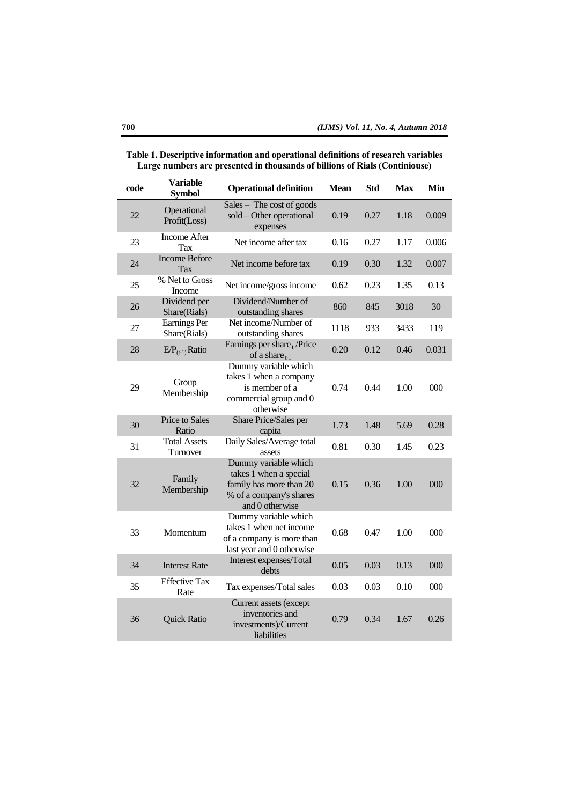| code | <b>Variable</b><br><b>Symbol</b>    | <b>Operational definition</b>                                                                                           | Mean | <b>Std</b> | <b>Max</b> | Min   |
|------|-------------------------------------|-------------------------------------------------------------------------------------------------------------------------|------|------------|------------|-------|
| 22   | Operational<br>Profit(Loss)         | Sales - The cost of goods<br>sold - Other operational<br>expenses                                                       | 0.19 | 0.27       | 1.18       | 0.009 |
| 23   | Income After<br>Tax                 | Net income after tax                                                                                                    | 0.16 | 0.27       | 1.17       | 0.006 |
| 24   | <b>Income Before</b><br>Tax         | Net income before tax                                                                                                   | 0.19 | 0.30       | 1.32       | 0.007 |
| 25   | % Net to Gross<br>Income            | Net income/gross income                                                                                                 | 0.62 | 0.23       | 1.35       | 0.13  |
| 26   | Dividend per<br>Share(Rials)        | Dividend/Number of<br>outstanding shares                                                                                | 860  | 845        | 3018       | 30    |
| 27   | <b>Earnings Per</b><br>Share(Rials) | Net income/Number of<br>outstanding shares                                                                              | 1118 | 933        | 3433       | 119   |
| 28   | $E/P_{(t-1)}$ Ratio                 | Earnings per share, /Price<br>of a share $_{t-1}$                                                                       | 0.20 | 0.12       | 0.46       | 0.031 |
| 29   | Group<br>Membership                 | Dummy variable which<br>takes 1 when a company<br>is member of a<br>commercial group and 0<br>otherwise                 | 0.74 | 0.44       | 1.00       | 000   |
| 30   | Price to Sales<br>Ratio             | Share Price/Sales per<br>capita                                                                                         | 1.73 | 1.48       | 5.69       | 0.28  |
| 31   | <b>Total Assets</b><br>Turnover     | Daily Sales/Average total<br>assets                                                                                     | 0.81 | 0.30       | 1.45       | 0.23  |
| 32   | Family<br>Membership                | Dummy variable which<br>takes 1 when a special<br>family has more than 20<br>% of a company's shares<br>and 0 otherwise | 0.15 | 0.36       | 1.00       | 000   |
| 33   | Momentum                            | Dummy variable which<br>takes 1 when net income<br>of a company is more than<br>last year and 0 otherwise               | 0.68 | 0.47       | 1.00       | 000   |
| 34   | <b>Interest Rate</b>                | Interest expenses/Total<br>debts                                                                                        | 0.05 | 0.03       | 0.13       | 000   |
| 35   | <b>Effective Tax</b><br>Rate        | Tax expenses/Total sales                                                                                                | 0.03 | 0.03       | 0.10       | 000   |
| 36   | <b>Quick Ratio</b>                  | Current assets (except<br>inventories and<br>investments)/Current<br>liabilities                                        | 0.79 | 0.34       | 1.67       | 0.26  |

**Table 1. Descriptive information and operational definitions of research variables Large numbers are presented in thousands of billions of Rials (Continiouse)**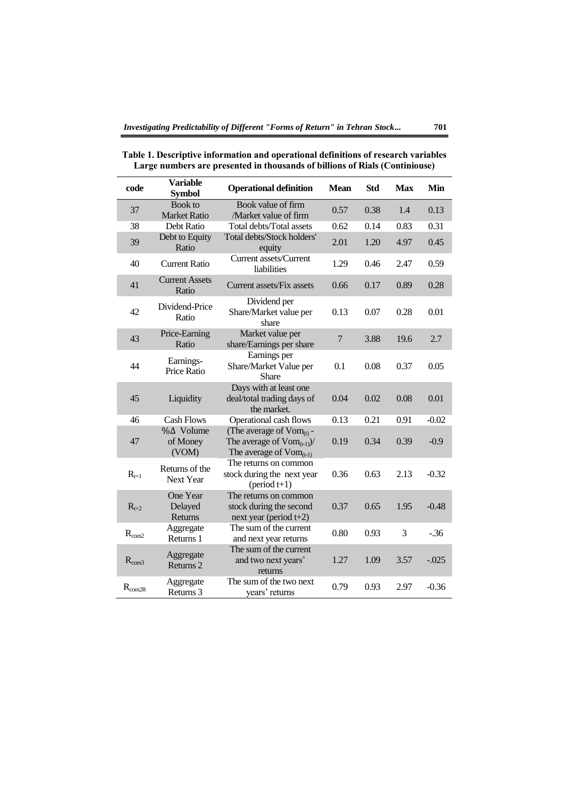| code           | <b>Variable</b><br><b>Symbol</b>   | <b>Operational definition</b>                                                                   | <b>Mean</b>    | <b>Std</b> | <b>Max</b> | Min     |
|----------------|------------------------------------|-------------------------------------------------------------------------------------------------|----------------|------------|------------|---------|
| 37             | Book to<br><b>Market Ratio</b>     | Book value of firm<br>/Market value of firm                                                     | 0.57           | 0.38       | 1.4        | 0.13    |
| 38             | Debt Ratio                         | Total debts/Total assets                                                                        | 0.62           | 0.14       | 0.83       | 0.31    |
| 39             | Debt to Equity<br>Ratio            | Total debts/Stock holders'<br>equity                                                            | 2.01           | 1.20       | 4.97       | 0.45    |
| 40             | <b>Current Ratio</b>               | Current assets/Current<br>liabilities                                                           | 1.29           | 0.46       | 2.47       | 0.59    |
| 41             | <b>Current Assets</b><br>Ratio     | Current assets/Fix assets                                                                       | 0.66           | 0.17       | 0.89       | 0.28    |
| 42             | Dividend-Price<br>Ratio            | Dividend per<br>Share/Market value per<br>share                                                 | 0.13           | 0.07       | 0.28       | 0.01    |
| 43             | Price-Earning<br>Ratio             | Market value per<br>share/Earnings per share                                                    | $\overline{7}$ | 3.88       | 19.6       | 2.7     |
| 44             | Earnings-<br>Price Ratio           | Earnings per<br>Share/Market Value per<br>Share                                                 | 0.1            | 0.08       | 0.37       | 0.05    |
| 45             | Liquidity                          | Days with at least one<br>deal/total trading days of<br>the market.                             | 0.04           | 0.02       | 0.08       | 0.01    |
| 46             | <b>Cash Flows</b>                  | Operational cash flows                                                                          | 0.13           | 0.21       | 0.91       | $-0.02$ |
| 47             | %∆ Volume<br>of Money<br>(VOM)     | (The average of $Vom_{(t)}$ -<br>The average of $Vom_{(t-1)}$ /<br>The average of $Vom_{(t-1)}$ | 0.19           | 0.34       | 0.39       | $-0.9$  |
| $R_{t+1}$      | Returns of the<br><b>Next Year</b> | The returns on common<br>stock during the next year<br>$(\text{period } t+1)$                   | 0.36           | 0.63       | 2.13       | $-0.32$ |
| $R_{t+2}$      | One Year<br>Delayed<br>Returns     | The returns on common<br>stock during the second<br>next year (period $t+2$ )                   | 0.37           | 0.65       | 1.95       | $-0.48$ |
| $R_{\rm com2}$ | Aggregate<br>Returns 1             | The sum of the current<br>and next year returns                                                 | 0.80           | 0.93       | 3          | $-0.36$ |
| $R_{com3}$     | Aggregate<br>Returns <sub>2</sub>  | The sum of the current<br>and two next years'<br>returns                                        | 1.27           | 1.09       | 3.57       | $-.025$ |
| $R_{com2R}$    | Aggregate<br>Returns 3             | The sum of the two next<br>years' returns                                                       | 0.79           | 0.93       | 2.97       | $-0.36$ |

**Table 1. Descriptive information and operational definitions of research variables Large numbers are presented in thousands of billions of Rials (Continiouse)**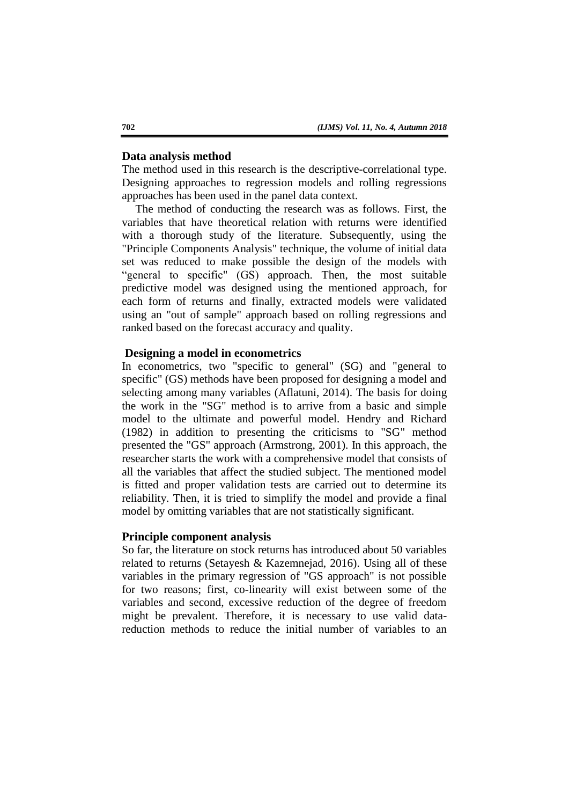### **Data analysis method**

The method used in this research is the descriptive-correlational type. Designing approaches to regression models and rolling regressions approaches has been used in the panel data context.

The method of conducting the research was as follows. First, the variables that have theoretical relation with returns were identified with a thorough study of the literature. Subsequently, using the "Principle Components Analysis" technique, the volume of initial data set was reduced to make possible the design of the models with "general to specific" (GS) approach. Then, the most suitable predictive model was designed using the mentioned approach, for each form of returns and finally, extracted models were validated using an "out of sample" approach based on rolling regressions and ranked based on the forecast accuracy and quality.

### **Designing a model in econometrics**

In econometrics, two "specific to general" (SG) and "general to specific" (GS) methods have been proposed for designing a model and selecting among many variables (Aflatuni, 2014). The basis for doing the work in the "SG" method is to arrive from a basic and simple model to the ultimate and powerful model. Hendry and Richard (1982) in addition to presenting the criticisms to "SG" method presented the "GS" approach (Armstrong, 2001). In this approach, the researcher starts the work with a comprehensive model that consists of all the variables that affect the studied subject. The mentioned model is fitted and proper validation tests are carried out to determine its reliability. Then, it is tried to simplify the model and provide a final model by omitting variables that are not statistically significant.

#### **Principle component analysis**

So far, the literature on stock returns has introduced about 50 variables related to returns (Setayesh & Kazemnejad, 2016). Using all of these variables in the primary regression of "GS approach" is not possible for two reasons; first, co-linearity will exist between some of the variables and second, excessive reduction of the degree of freedom might be prevalent. Therefore, it is necessary to use valid datareduction methods to reduce the initial number of variables to an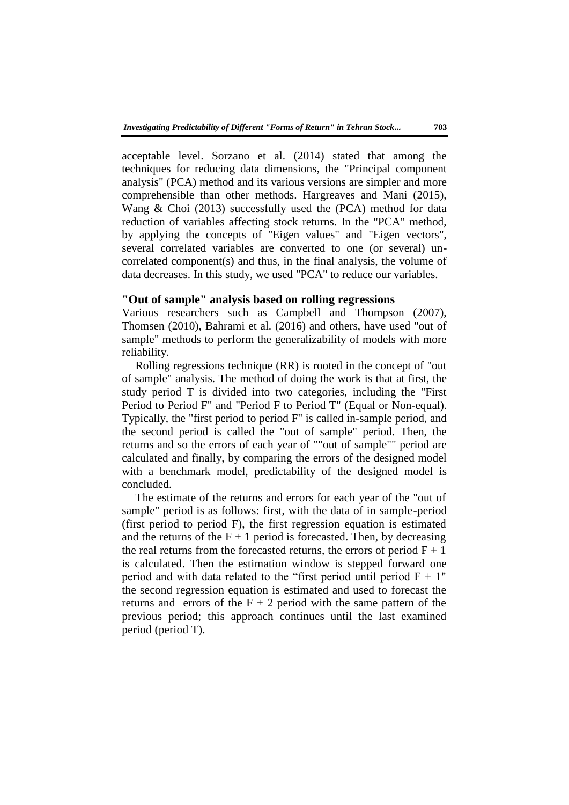acceptable level. Sorzano et al. (2014) stated that among the techniques for reducing data dimensions, the "Principal component analysis" (PCA) method and its various versions are simpler and more comprehensible than other methods. Hargreaves and Mani (2015), Wang & Choi (2013) successfully used the (PCA) method for data reduction of variables affecting stock returns. In the "PCA" method, by applying the concepts of "Eigen values" and "Eigen vectors", several correlated variables are converted to one (or several) uncorrelated component(s) and thus, in the final analysis, the volume of data decreases. In this study, we used "PCA" to reduce our variables.

### **"Out of sample" analysis based on rolling regressions**

Various researchers such as Campbell and Thompson (2007), Thomsen (2010), Bahrami et al. (2016) and others, have used "out of sample" methods to perform the generalizability of models with more reliability.

Rolling regressions technique (RR) is rooted in the concept of "out of sample" analysis. The method of doing the work is that at first, the study period T is divided into two categories, including the "First Period to Period F" and "Period F to Period T" (Equal or Non-equal). Typically, the "first period to period F" is called in-sample period, and the second period is called the "out of sample" period. Then, the returns and so the errors of each year of ""out of sample"" period are calculated and finally, by comparing the errors of the designed model with a benchmark model, predictability of the designed model is concluded.

The estimate of the returns and errors for each year of the "out of sample" period is as follows: first, with the data of in sample-period (first period to period F), the first regression equation is estimated and the returns of the  $F + 1$  period is forecasted. Then, by decreasing the real returns from the forecasted returns, the errors of period  $F + 1$ is calculated. Then the estimation window is stepped forward one period and with data related to the "first period until period  $F + 1$ " the second regression equation is estimated and used to forecast the returns and errors of the  $F + 2$  period with the same pattern of the previous period; this approach continues until the last examined period (period T).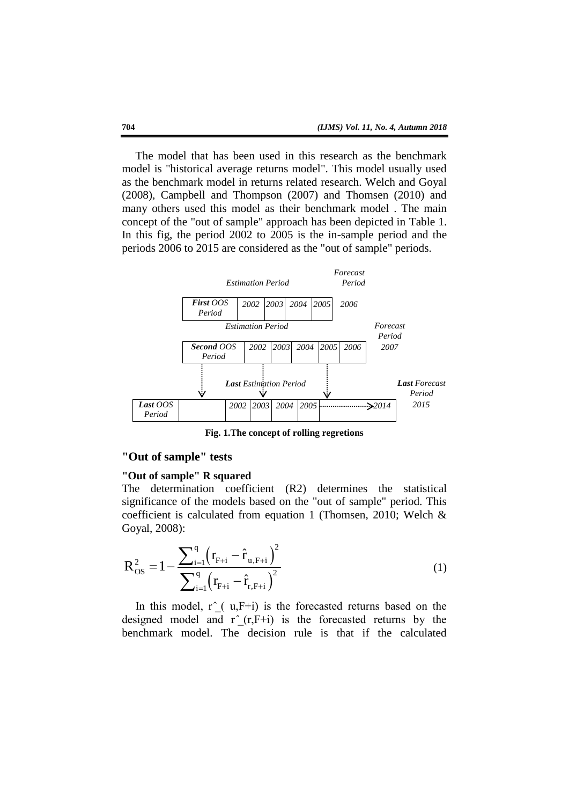The model that has been used in this research as the benchmark model is "historical average returns model". This model usually used as the benchmark model in returns related research. Welch and Goyal (2008), Campbell and Thompson (2007) and Thomsen (2010) and many others used this model as their benchmark model . The main concept of the "out of sample" approach has been depicted in Table 1. In this fig, the period 2002 to 2005 is the in-sample period and the periods 2006 to 2015 are considered as the "out of sample" periods.



**Fig. 1.The concept of rolling regretions**

# **"Out of sample" tests**

# **"Out of sample" R squared**

The determination coefficient (R2) determines the statistical significance of the models based on the "out of sample" period. This coefficient is calculated from equation 1 (Thomsen, 2010; Welch & Goyal, 2008):

$$
R_{OS}^{2} = 1 - \frac{\sum_{i=1}^{q} (r_{F+i} - \hat{r}_{u,F+i})^{2}}{\sum_{i=1}^{q} (r_{F+i} - \hat{r}_{r,F+i})^{2}}
$$
(1)

In this model,  $r^{\prime}(u,F+i)$  is the forecasted returns based on the designed model and  $r^-(r,F+i)$  is the forecasted returns by the benchmark model. The decision rule is that if the calculated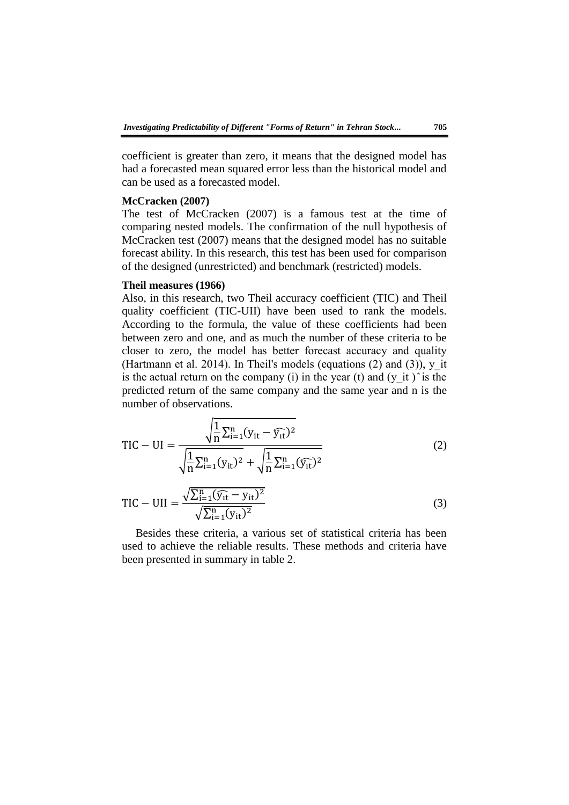coefficient is greater than zero, it means that the designed model has had a forecasted mean squared error less than the historical model and can be used as a forecasted model.

#### **McCracken (2007)**

The test of McCracken (2007) is a famous test at the time of comparing nested models. The confirmation of the null hypothesis of McCracken test (2007) means that the designed model has no suitable forecast ability. In this research, this test has been used for comparison of the designed (unrestricted) and benchmark (restricted) models.

# **Theil measures (1966)**

Also, in this research, two Theil accuracy coefficient (TIC) and Theil quality coefficient (TIC-UII) have been used to rank the models. According to the formula, the value of these coefficients had been between zero and one, and as much the number of these criteria to be closer to zero, the model has better forecast accuracy and quality (Hartmann et al. 2014). In Theil's models (equations  $(2)$  and  $(3)$ ), y it is the actual return on the company (i) in the year (t) and (y it) is the predicted return of the same company and the same year and n is the number of observations.

$$
TIC - UI = \frac{\sqrt{\frac{1}{n} \sum_{i=1}^{n} (y_{it} - \widehat{y_{it}})^2}}{\sqrt{\frac{1}{n} \sum_{i=1}^{n} (y_{it})^2} + \sqrt{\frac{1}{n} \sum_{i=1}^{n} (\widehat{y_{it}})^2}}
$$
(2)

$$
TIC - UII = \frac{\sqrt{\sum_{i=1}^{n} (\widehat{y_{it}} - y_{it})^2}}{\sqrt{\sum_{i=1}^{n} (y_{it})^2}}
$$
(3)

Besides these criteria, a various set of statistical criteria has been used to achieve the reliable results. These methods and criteria have been presented in summary in table 2.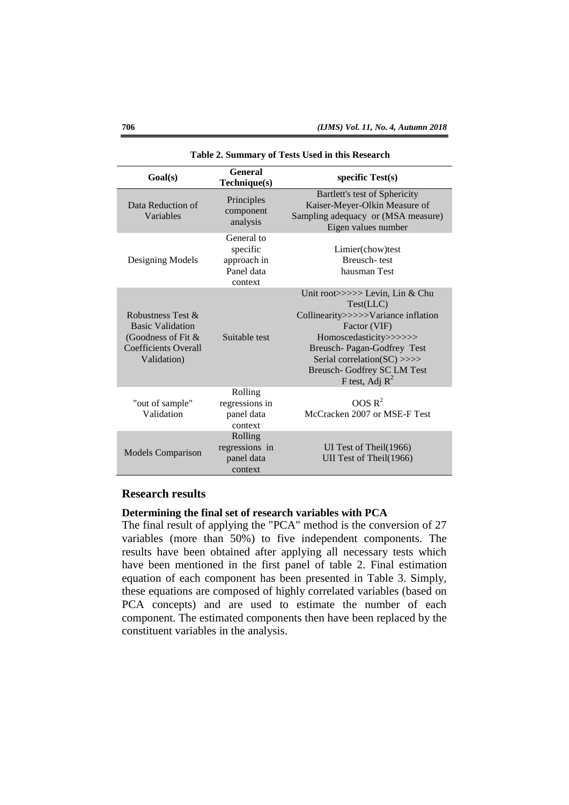| Goal(s)                                                                                                          | <b>General</b><br>Technique(s)                                 | specific $Test(s)$                                                                                                                                                                                                                                      |
|------------------------------------------------------------------------------------------------------------------|----------------------------------------------------------------|---------------------------------------------------------------------------------------------------------------------------------------------------------------------------------------------------------------------------------------------------------|
| Data Reduction of<br>Variables                                                                                   | Principles<br>component<br>analysis                            | Bartlett's test of Sphericity<br>Kaiser-Meyer-Olkin Measure of<br>Sampling adequacy or (MSA measure)<br>Eigen values number                                                                                                                             |
| Designing Models                                                                                                 | General to<br>specific<br>approach in<br>Panel data<br>context | Limier(chow)test<br>Breusch-test<br>hausman Test                                                                                                                                                                                                        |
| Robustness Test &<br><b>Basic Validation</b><br>(Goodness of Fit &<br><b>Coefficients Overall</b><br>Validation) | Suitable test                                                  | Unit root>>>>> Levin, Lin & Chu<br>Test (LLC)<br>Collinearity>>>>>Variance inflation<br>Factor (VIF)<br>Homoscedasticity>>>>>><br>Breusch- Pagan-Godfrey Test<br>Serial correlation(SC) $\gg$<br><b>Breusch-Godfrey SC LM Test</b><br>F test, Adj $R^2$ |
| "out of sample"<br>Validation                                                                                    | Rolling<br>regressions in<br>panel data<br>context             | OOS R <sup>2</sup><br>McCracken 2007 or MSE-F Test                                                                                                                                                                                                      |
| <b>Models Comparison</b>                                                                                         | Rolling<br>regressions in<br>panel data<br>context             | UI Test of Theil(1966)<br>UII Test of Theil(1966)                                                                                                                                                                                                       |

#### **Table 2. Summary of Tests Used in this Research**

# **Research results**

### **Determining the final set of research variables with PCA**

The final result of applying the "PCA" method is the conversion of 27 variables (more than 50%) to five independent components. The results have been obtained after applying all necessary tests which have been mentioned in the first panel of table 2. Final estimation equation of each component has been presented in Table 3. Simply, these equations are composed of highly correlated variables (based on PCA concepts) and are used to estimate the number of each component. The estimated components then have been replaced by the constituent variables in the analysis.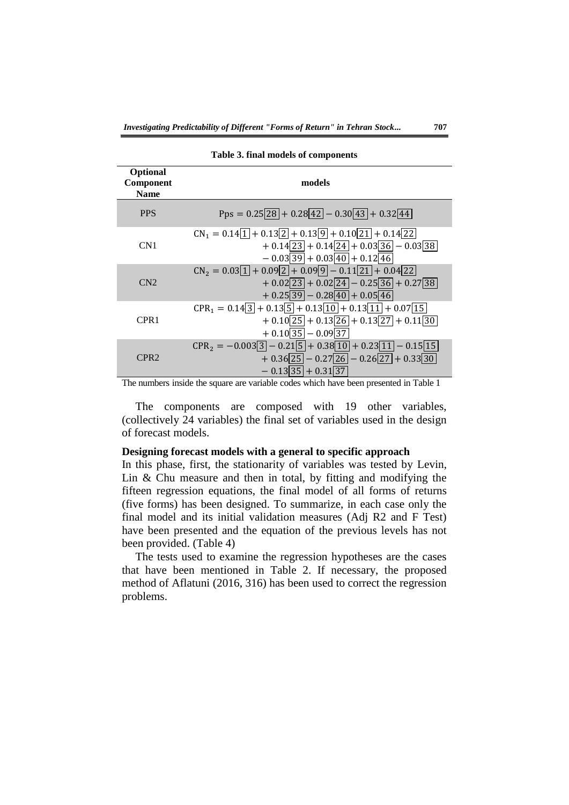| <b>Optional</b><br>Component<br><b>Name</b> | models                                                                                                                                                                                                                                                           |
|---------------------------------------------|------------------------------------------------------------------------------------------------------------------------------------------------------------------------------------------------------------------------------------------------------------------|
| <b>PPS</b>                                  | Pps = $0.25\overline{28}$ + $0.28\overline{42}$ - $0.30\overline{43}$ + $0.32\overline{44}$                                                                                                                                                                      |
| CN1                                         | $CN_1 = 0.14\overline{1} + 0.13\overline{2} + 0.13\overline{9} + 0.10\overline{21} + 0.14\overline{22}$<br>$+ 0.14\overline{23} + 0.14\overline{24} + 0.03\overline{36} - 0.03\overline{38}$<br>$-0.03\overline{39} + 0.03\overline{40} + 0.12\overline{46}$     |
| CN2                                         | $CN_2 = 0.03\overline{1} + 0.09\overline{2} + 0.09\overline{9} - 0.11\overline{21} + 0.04\overline{22}$<br>$+ 0.02\overline{23} + 0.02\overline{24} - 0.25\overline{36} + 0.27\overline{38}$<br>$+ 0.25 \overline{39} - 0.28 \overline{40} + 0.05 \overline{46}$ |
| CPR <sub>1</sub>                            | $CPR_1 = 0.14\overline{3} + 0.13\overline{5} + 0.13\overline{10} + 0.13\overline{11} + 0.07\overline{15}$<br>$+ 0.10\overline{25} + 0.13\overline{26} + 0.13\overline{27} + 0.11\overline{30}$<br>$+0.10\overline{35} - 0.09\overline{37}$                       |
| CPR <sub>2</sub>                            | $CPR_2 = -0.003\overline{3} - 0.21\overline{5} + 0.38\overline{10} + 0.23\overline{11} - 0.15\overline{15}$<br>$+0.36\overline{25} - 0.27\overline{26} - 0.26\overline{27} + 0.33\overline{30}$<br>$-0.13\overline{35} + 0.31\overline{37}$                      |

**Table 3. final models of components**

The numbers inside the square are variable codes which have been presented in Table 1

The components are composed with 19 other variables, (collectively 24 variables) the final set of variables used in the design of forecast models.

### **Designing forecast models with a general to specific approach**

In this phase, first, the stationarity of variables was tested by Levin, Lin & Chu measure and then in total, by fitting and modifying the fifteen regression equations, the final model of all forms of returns (five forms) has been designed. To summarize, in each case only the final model and its initial validation measures (Adj R2 and F Test) have been presented and the equation of the previous levels has not been provided. (Table 4)

The tests used to examine the regression hypotheses are the cases that have been mentioned in Table 2. If necessary, the proposed method of Aflatuni (2016, 316) has been used to correct the regression problems.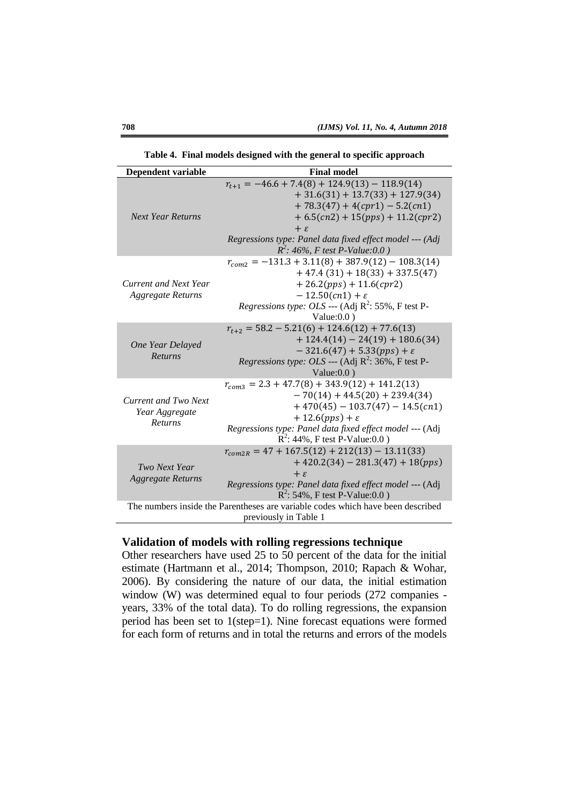| Dependent variable                                       | <b>Final model</b>                                                                                                                                                                                                                                                                     |  |  |  |  |
|----------------------------------------------------------|----------------------------------------------------------------------------------------------------------------------------------------------------------------------------------------------------------------------------------------------------------------------------------------|--|--|--|--|
| <b>Next Year Returns</b>                                 | $r_{t+1} = -46.6 + 7.4(8) + 124.9(13) - 118.9(14)$<br>$+31.6(31) + 13.7(33) + 127.9(34)$<br>$+78.3(47) + 4(cpr1) - 5.2(cn1)$<br>$+ 6.5(cn2) + 15(pps) + 11.2(cpr2)$<br>$+ \varepsilon$<br>Regressions type: Panel data fixed effect model --- (Adj<br>$R^2$ : 46%, F test P-Value:0.0) |  |  |  |  |
| <b>Current and Next Year</b><br>Aggregate Returns        | $r_{com2} = -131.3 + 3.11(8) + 387.9(12) - 108.3(14)$<br>$+47.4(31) + 18(33) + 337.5(47)$<br>$+26.2(pps) + 11.6(cpr2)$<br>$-12.50(cn1) + \varepsilon$<br><i>Regressions type: OLS</i> --- (Adj $R^2$ : 55%, F test P-<br>Value: $0.0$ )                                                |  |  |  |  |
| One Year Delayed<br>Returns                              | $r_{t+2} = 58.2 - 5.21(6) + 124.6(12) + 77.6(13)$<br>$+ 124.4(14) - 24(19) + 180.6(34)$<br>$-321.6(47) + 5.33(pps) + \varepsilon$<br>Regressions type: OLS --- (Adj $R^2$ : 36%, F test P-<br>Value: $0.0$ )                                                                           |  |  |  |  |
| Current and Two Next<br>Year Aggregate<br><b>Returns</b> | $r_{com3} = 2.3 + 47.7(8) + 343.9(12) + 141.2(13)$<br>$-70(14) + 44.5(20) + 239.4(34)$<br>$+470(45) - 103.7(47) - 14.5(cn1)$<br>$+ 12.6 (pps) + \varepsilon$<br>Regressions type: Panel data fixed effect model --- (Adj<br>$R^2$ : 44%, F test P-Value:0.0)                           |  |  |  |  |
| Two Next Year<br><b>Aggregate Returns</b>                | $r_{com2R} = 47 + 167.5(12) + 212(13) - 13.11(33)$<br>$+420.2(34) - 281.3(47) + 18(pps)$<br>$+ \varepsilon$<br>Regressions type: Panel data fixed effect model --- (Adj<br>$R^2$ : 54%, F test P-Value:0.0)                                                                            |  |  |  |  |
|                                                          | The numbers inside the Parentheses are variable codes which have been described<br>previously in Table 1                                                                                                                                                                               |  |  |  |  |

**Table 4. Final models designed with the general to specific approach**

# **Validation of models with rolling regressions technique**

Other researchers have used 25 to 50 percent of the data for the initial estimate (Hartmann et al., 2014; Thompson, 2010; Rapach & Wohar, 2006). By considering the nature of our data, the initial estimation window (W) was determined equal to four periods (272 companies years, 33% of the total data). To do rolling regressions, the expansion period has been set to 1(step=1). Nine forecast equations were formed for each form of returns and in total the returns and errors of the models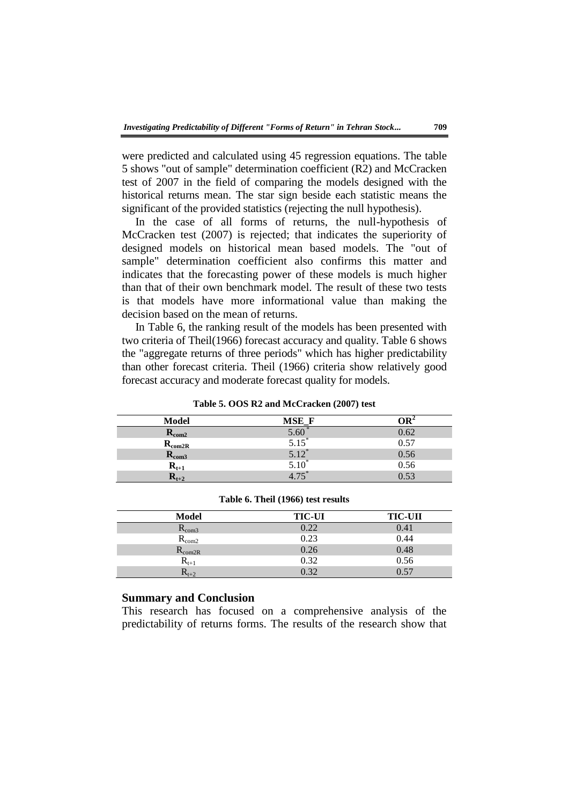were predicted and calculated using 45 regression equations. The table 5 shows "out of sample" determination coefficient (R2) and McCracken test of 2007 in the field of comparing the models designed with the historical returns mean. The star sign beside each statistic means the significant of the provided statistics (rejecting the null hypothesis).

In the case of all forms of returns, the null-hypothesis of McCracken test (2007) is rejected; that indicates the superiority of designed models on historical mean based models. The "out of sample" determination coefficient also confirms this matter and indicates that the forecasting power of these models is much higher than that of their own benchmark model. The result of these two tests is that models have more informational value than making the decision based on the mean of returns.

In Table 6, the ranking result of the models has been presented with two criteria of Theil(1966) forecast accuracy and quality. Table 6 shows the "aggregate returns of three periods" which has higher predictability than other forecast criteria. Theil (1966) criteria show relatively good forecast accuracy and moderate forecast quality for models.

#### **Table 5. OOS R2 and McCracken (2007) test**

| Model               | MSE F   |      |
|---------------------|---------|------|
| $\mathbf{R_{com2}}$ | 5.60    | 0.62 |
| $R_{\rm com2R}$     | 5.15    | 0.57 |
| $R_{\rm com3}$      | $5.12*$ | 0.56 |
| $R_{t+1}$           | 5.10    | 0.56 |
| $\mathbf{R_{t+2}}$  |         |      |

| Model                                  | <b>TIC-UI</b> | <b>TIC-UII</b> |
|----------------------------------------|---------------|----------------|
| $R_{com3}$                             | 2.22          | 0.41           |
| $R_{\rm com2}$                         | 0.23          | 0.44           |
| $\mathsf{R}_{\mathrm{com}2\mathrm{R}}$ | 0.26          | 0.48           |
| $\mathbf{K}_{t+1}$                     | 0.32          | 0.56           |
| $\mathbf{r}_{t+2}$                     | 0.32          | በ 57           |

**Table 6. Theil (1966) test results**

# **Summary and Conclusion**

This research has focused on a comprehensive analysis of the predictability of returns forms. The results of the research show that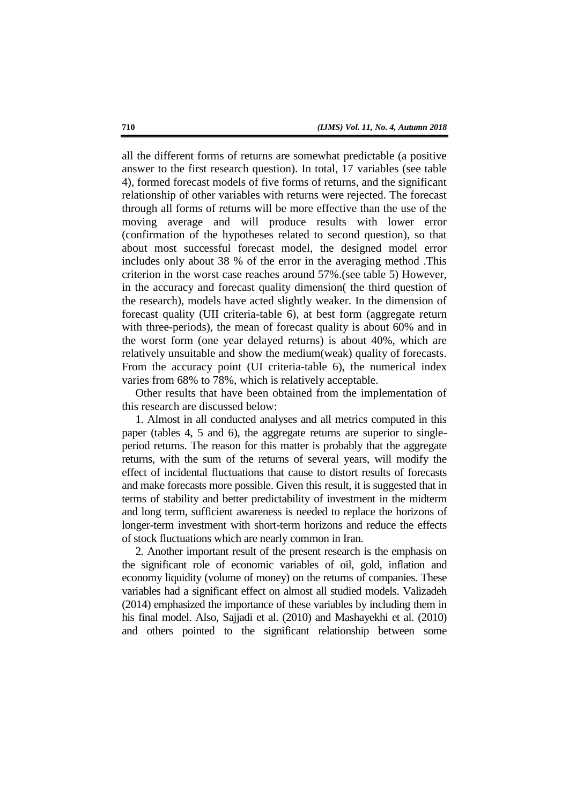all the different forms of returns are somewhat predictable (a positive answer to the first research question). In total, 17 variables (see table 4), formed forecast models of five forms of returns, and the significant relationship of other variables with returns were rejected. The forecast through all forms of returns will be more effective than the use of the moving average and will produce results with lower error (confirmation of the hypotheses related to second question), so that about most successful forecast model, the designed model error includes only about 38 % of the error in the averaging method .This criterion in the worst case reaches around 57%.(see table 5) However, in the accuracy and forecast quality dimension( the third question of the research), models have acted slightly weaker. In the dimension of forecast quality (UII criteria-table 6), at best form (aggregate return with three-periods), the mean of forecast quality is about 60% and in the worst form (one year delayed returns) is about 40%, which are relatively unsuitable and show the medium(weak) quality of forecasts. From the accuracy point (UI criteria-table 6), the numerical index varies from 68% to 78%, which is relatively acceptable.

Other results that have been obtained from the implementation of this research are discussed below:

1. Almost in all conducted analyses and all metrics computed in this paper (tables 4, 5 and 6), the aggregate returns are superior to singleperiod returns. The reason for this matter is probably that the aggregate returns, with the sum of the returns of several years, will modify the effect of incidental fluctuations that cause to distort results of forecasts and make forecasts more possible. Given this result, it is suggested that in terms of stability and better predictability of investment in the midterm and long term, sufficient awareness is needed to replace the horizons of longer-term investment with short-term horizons and reduce the effects of stock fluctuations which are nearly common in Iran.

2. Another important result of the present research is the emphasis on the significant role of economic variables of oil, gold, inflation and economy liquidity (volume of money) on the returns of companies. These variables had a significant effect on almost all studied models. Valizadeh (2014) emphasized the importance of these variables by including them in his final model. Also, Sajjadi et al. (2010) and Mashayekhi et al. (2010) and others pointed to the significant relationship between some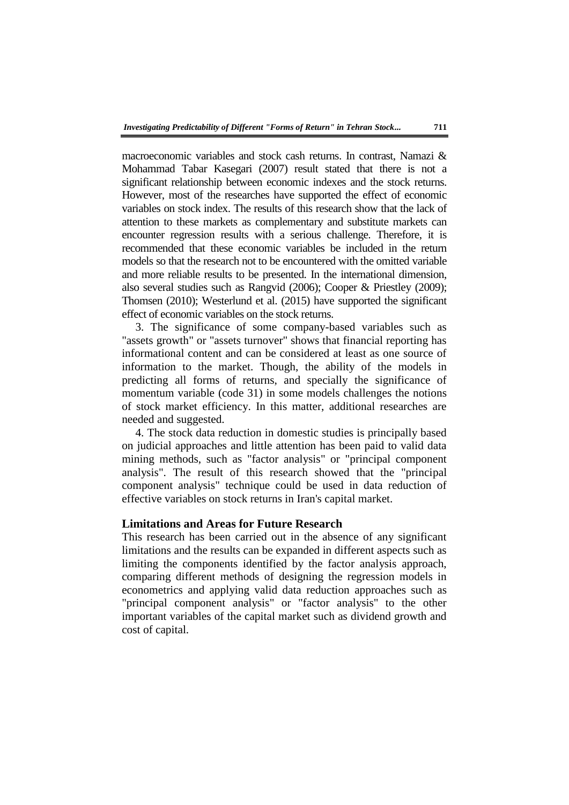macroeconomic variables and stock cash returns. In contrast, Namazi & Mohammad Tabar Kasegari (2007) result stated that there is not a significant relationship between economic indexes and the stock returns. However, most of the researches have supported the effect of economic variables on stock index. The results of this research show that the lack of attention to these markets as complementary and substitute markets can encounter regression results with a serious challenge. Therefore, it is recommended that these economic variables be included in the return models so that the research not to be encountered with the omitted variable and more reliable results to be presented. In the international dimension, also several studies such as Rangvid (2006); Cooper & Priestley (2009); Thomsen (2010); Westerlund et al. (2015) have supported the significant effect of economic variables on the stock returns.

3. The significance of some company-based variables such as "assets growth" or "assets turnover" shows that financial reporting has informational content and can be considered at least as one source of information to the market. Though, the ability of the models in predicting all forms of returns, and specially the significance of momentum variable (code 31) in some models challenges the notions of stock market efficiency. In this matter, additional researches are needed and suggested.

4. The stock data reduction in domestic studies is principally based on judicial approaches and little attention has been paid to valid data mining methods, such as "factor analysis" or "principal component analysis". The result of this research showed that the "principal component analysis" technique could be used in data reduction of effective variables on stock returns in Iran's capital market.

# **Limitations and Areas for Future Research**

This research has been carried out in the absence of any significant limitations and the results can be expanded in different aspects such as limiting the components identified by the factor analysis approach, comparing different methods of designing the regression models in econometrics and applying valid data reduction approaches such as "principal component analysis" or "factor analysis" to the other important variables of the capital market such as dividend growth and cost of capital.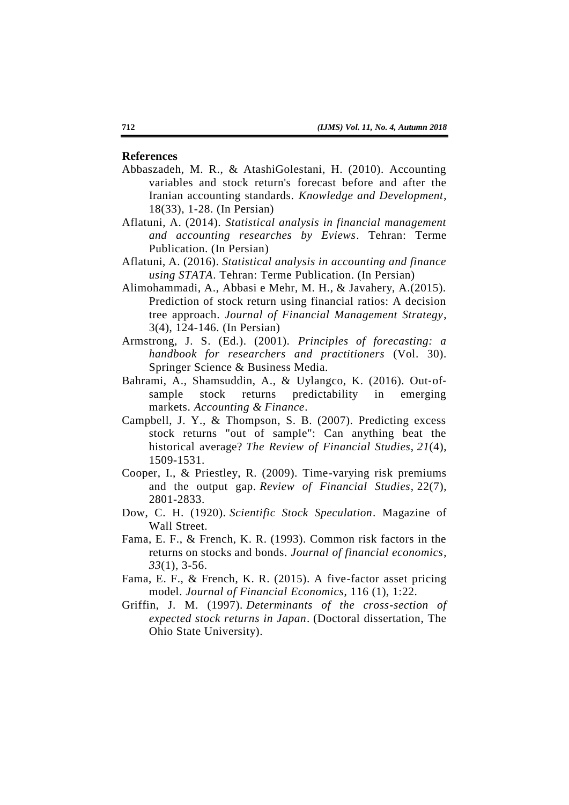### **References**

- Abbaszadeh, M. R., & AtashiGolestani, H. (2010). Accounting variables and stock return's forecast before and after the Iranian accounting standards. *Knowledge and Development*, 18(33), 1-28. (In Persian)
- Aflatuni, A. (2014). *Statistical analysis in financial management and accounting researches by Eviews*. Tehran: Terme Publication. (In Persian)
- Aflatuni, A. (2016). *Statistical analysis in accounting and finance using STATA*. Tehran: Terme Publication. (In Persian)
- Alimohammadi, A., Abbasi e Mehr, M. H., & Javahery, A.(2015). Prediction of stock return using financial ratios: A decision tree approach. *Journal of Financial Management Strategy*, 3(4), 124-146. (In Persian)
- Armstrong, J. S. (Ed.). (2001). *Principles of forecasting: a handbook for researchers and practitioners* (Vol. 30). Springer Science & Business Media.
- Bahrami, A., Shamsuddin, A., & Uylangco, K. (2016). Out‐of‐ sample stock returns predictability in emerging markets. *Accounting & Finance*.
- Campbell, J. Y., & Thompson, S. B. (2007). Predicting excess stock returns "out of sample": Can anything beat the historical average? *The Review of Financial Studies*, *21*(4), 1509-1531.
- Cooper, I., & Priestley, R. (2009). Time-varying risk premiums and the output gap. *Review of Financial Studies*, 22(7), 2801-2833.
- Dow, C. H. (1920). *Scientific Stock Speculation*. Magazine of Wall Street.
- Fama, E. F., & French, K. R. (1993). Common risk factors in the returns on stocks and bonds. *Journal of financial economics*, *33*(1), 3-56.
- Fama, E. F., & French, K. R. (2015). A five-factor asset pricing model. *Journal of Financial Economics*, 116 (1), 1:22.
- Griffin, J. M. (1997). *Determinants of the cross-section of expected stock returns in Japan*. (Doctoral dissertation, The Ohio State University).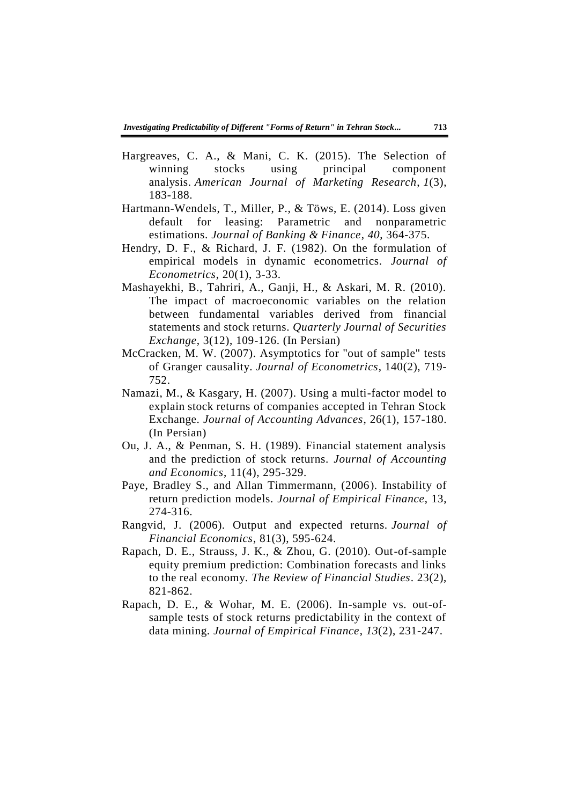- Hargreaves, C. A., & Mani, C. K. (2015). The Selection of winning stocks using principal component analysis. *American Journal of Marketing Research*, *1*(3), 183-188.
- Hartmann-Wendels, T., Miller, P., & Töws, E. (2014). Loss given default for leasing: Parametric and nonparametric estimations. *Journal of Banking & Finance*, *40*, 364-375.
- Hendry, D. F., & Richard, J. F. (1982). On the formulation of empirical models in dynamic econometrics. *Journal of Econometrics*, 20(1), 3-33.
- Mashayekhi, B., Tahriri, A., Ganji, H., & Askari, M. R. (2010). The impact of macroeconomic variables on the relation between fundamental variables derived from financial statements and stock returns. *Quarterly Journal of Securities Exchange*, 3(12), 109-126. (In Persian)
- McCracken, M. W. (2007). Asymptotics for "out of sample" tests of Granger causality. *Journal of Econometrics*, 140(2), 719- 752.
- Namazi, M., & Kasgary, H. (2007). Using a multi-factor model to explain stock returns of companies accepted in Tehran Stock Exchange. *Journal of Accounting Advances*, 26(1), 157-180. (In Persian)
- Ou, J. A., & Penman, S. H. (1989). Financial statement analysis and the prediction of stock returns. *Journal of Accounting and Economics*, 11(4), 295-329.
- Paye, Bradley S., and Allan Timmermann, (2006). Instability of return prediction models. *Journal of Empirical Finance*, 13, 274-316.
- Rangvid, J. (2006). Output and expected returns. *Journal of Financial Economics*, 81(3), 595-624.
- Rapach, D. E., Strauss, J. K., & Zhou, G. (2010). Out-of-sample equity premium prediction: Combination forecasts and links to the real economy. *The Review of Financial Studies*. 23(2), 821-862.
- Rapach, D. E., & Wohar, M. E. (2006). In-sample vs. out-ofsample tests of stock returns predictability in the context of data mining. *Journal of Empirical Finance*, *13*(2), 231-247.